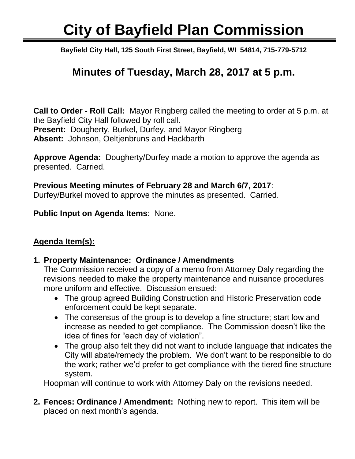# **City of Bayfield Plan Commission**

Ī **Bayfield City Hall, 125 South First Street, Bayfield, WI 54814, 715-779-5712**

## **Minutes of Tuesday, March 28, 2017 at 5 p.m.**

**Call to Order - Roll Call:** Mayor Ringberg called the meeting to order at 5 p.m. at the Bayfield City Hall followed by roll call. **Present:** Dougherty, Burkel, Durfey, and Mayor Ringberg **Absent:** Johnson, Oeltjenbruns and Hackbarth

**Approve Agenda:** Dougherty/Durfey made a motion to approve the agenda as presented. Carried.

#### **Previous Meeting minutes of February 28 and March 6/7, 2017**:

Durfey/Burkel moved to approve the minutes as presented. Carried.

**Public Input on Agenda Items**: None.

### **Agenda Item(s):**

#### **1. Property Maintenance: Ordinance / Amendments**

The Commission received a copy of a memo from Attorney Daly regarding the revisions needed to make the property maintenance and nuisance procedures more uniform and effective. Discussion ensued:

- The group agreed Building Construction and Historic Preservation code enforcement could be kept separate.
- The consensus of the group is to develop a fine structure; start low and increase as needed to get compliance. The Commission doesn't like the idea of fines for "each day of violation".
- The group also felt they did not want to include language that indicates the City will abate/remedy the problem. We don't want to be responsible to do the work; rather we'd prefer to get compliance with the tiered fine structure system.

Hoopman will continue to work with Attorney Daly on the revisions needed.

**2. Fences: Ordinance / Amendment:** Nothing new to report. This item will be placed on next month's agenda.